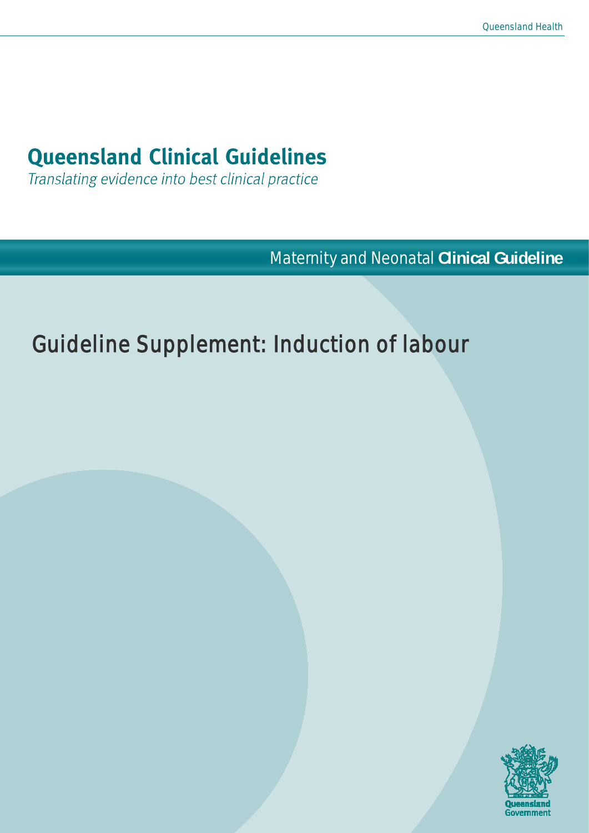# **Queensland Clinical Guidelines**

Translating evidence into best clinical practice

**Maternity and Neonatal Clinical Guideline** 

# Guideline Supplement: Induction of labour

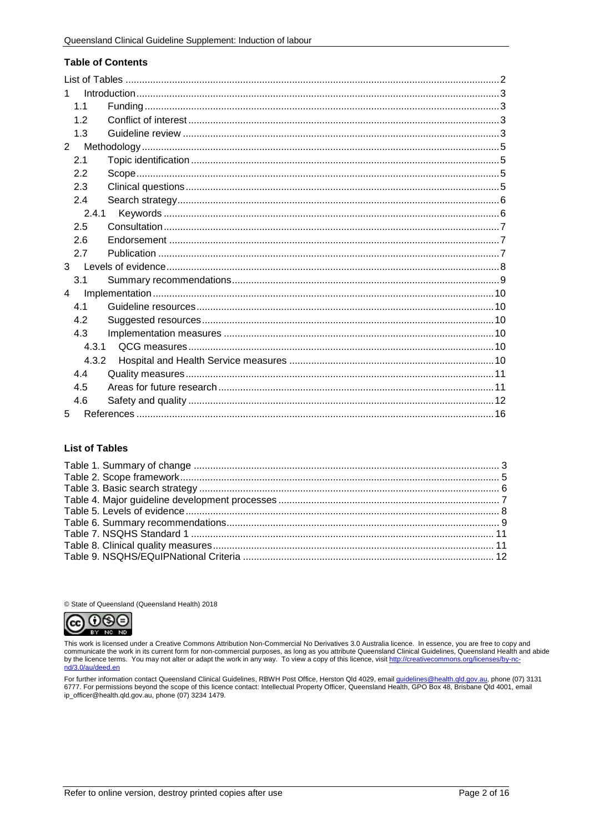#### **Table of Contents**

| 1              |  |  |  |
|----------------|--|--|--|
| 11             |  |  |  |
| 1.2            |  |  |  |
| 1.3            |  |  |  |
| $\overline{2}$ |  |  |  |
| 2.1            |  |  |  |
| 2.2            |  |  |  |
| 2.3            |  |  |  |
| 2.4            |  |  |  |
| 2.4.1          |  |  |  |
| 2.5            |  |  |  |
| 2.6            |  |  |  |
| 2.7            |  |  |  |
| 3 <sup>1</sup> |  |  |  |
| 3.1            |  |  |  |
| 4              |  |  |  |
| 41             |  |  |  |
| 4.2            |  |  |  |
| 4.3            |  |  |  |
| 4.3.1          |  |  |  |
| 4.3.2          |  |  |  |
| 4.4            |  |  |  |
| 4.5            |  |  |  |
| 4.6            |  |  |  |
| 5              |  |  |  |

#### <span id="page-1-0"></span>**List of Tables**

© State of Queensland (Queensland Health) 2018



This work is licensed under a Creative Commons Attribution Non-Commercial No Derivatives 3.0 Australia licence. In essence, you are free to copy and communicate the work in its current form for non-commercial purposes, as long as you attribute Queensland Clinical Guidelines, Queensland Health and abide<br>by the licence terms. You may not alter or adapt the work in any wa nd/3.0/au/deed.en

For further information contact Queensland Clinical Guidelines, RBWH Post Office, Herston Qld 4029, email <u>quidelines@health.qld.gov.au</u>, phone (07) 3131<br>6777. For permissions beyond the scope of this licence contact: Inte ip\_officer@health.qld.gov.au, phone (07) 3234 1479.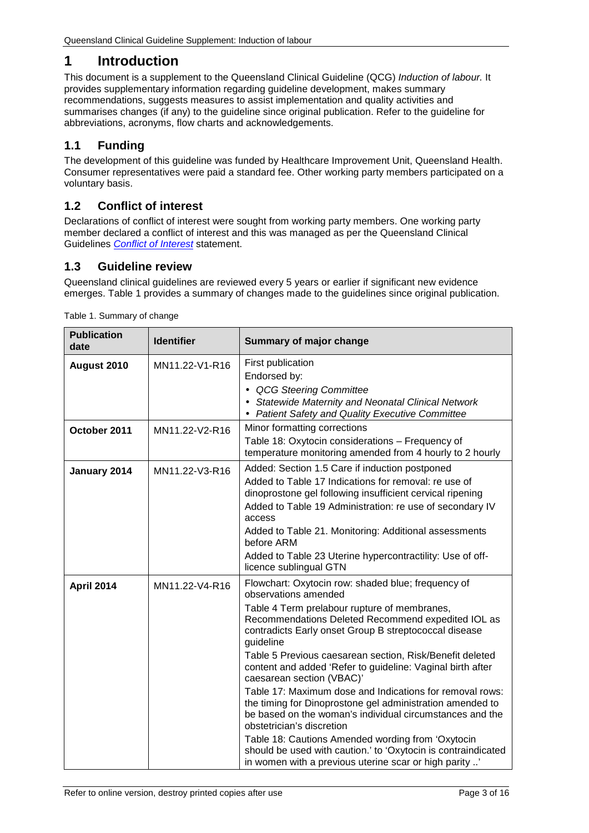# <span id="page-2-0"></span>**1 Introduction**

This document is a supplement to the Queensland Clinical Guideline (QCG) *Induction of labour.* It provides supplementary information regarding guideline development, makes summary recommendations, suggests measures to assist implementation and quality activities and summarises changes (if any) to the guideline since original publication. Refer to the guideline for abbreviations, acronyms, flow charts and acknowledgements.

## <span id="page-2-1"></span>**1.1 Funding**

The development of this guideline was funded by Healthcare Improvement Unit, Queensland Health. Consumer representatives were paid a standard fee. Other working party members participated on a voluntary basis.

### <span id="page-2-2"></span>**1.2 Conflict of interest**

Declarations of conflict of interest were sought from working party members. One working party member declared a conflict of interest and this was managed as per the Queensland Clinical Guidelines *[Conflict of Interest](https://www.health.qld.gov.au/qcg/development#coi)* statement.

### <span id="page-2-3"></span>**1.3 Guideline review**

Queensland clinical guidelines are reviewed every 5 years or earlier if significant new evidence emerges. [Table 1](#page-2-4) provides a summary of changes made to the guidelines since original publication.

| <b>Publication</b><br>date | <b>Identifier</b> | Summary of major change                                                                                                                                                                                                                                                                                                                                                                                                                                                                                                                                                                                                                                                                                                                                                                                         |  |
|----------------------------|-------------------|-----------------------------------------------------------------------------------------------------------------------------------------------------------------------------------------------------------------------------------------------------------------------------------------------------------------------------------------------------------------------------------------------------------------------------------------------------------------------------------------------------------------------------------------------------------------------------------------------------------------------------------------------------------------------------------------------------------------------------------------------------------------------------------------------------------------|--|
| August 2010                | MN11.22-V1-R16    | First publication<br>Endorsed by:<br><b>QCG Steering Committee</b><br>Statewide Maternity and Neonatal Clinical Network<br>Patient Safety and Quality Executive Committee                                                                                                                                                                                                                                                                                                                                                                                                                                                                                                                                                                                                                                       |  |
| October 2011               | MN11.22-V2-R16    | Minor formatting corrections<br>Table 18: Oxytocin considerations - Frequency of<br>temperature monitoring amended from 4 hourly to 2 hourly                                                                                                                                                                                                                                                                                                                                                                                                                                                                                                                                                                                                                                                                    |  |
| January 2014               | MN11.22-V3-R16    | Added: Section 1.5 Care if induction postponed<br>Added to Table 17 Indications for removal: re use of<br>dinoprostone gel following insufficient cervical ripening<br>Added to Table 19 Administration: re use of secondary IV<br>access<br>Added to Table 21. Monitoring: Additional assessments<br>before ARM<br>Added to Table 23 Uterine hypercontractility: Use of off-<br>licence sublingual GTN                                                                                                                                                                                                                                                                                                                                                                                                         |  |
| <b>April 2014</b>          | MN11.22-V4-R16    | Flowchart: Oxytocin row: shaded blue; frequency of<br>observations amended<br>Table 4 Term prelabour rupture of membranes,<br>Recommendations Deleted Recommend expedited IOL as<br>contradicts Early onset Group B streptococcal disease<br>guideline<br>Table 5 Previous caesarean section, Risk/Benefit deleted<br>content and added 'Refer to guideline: Vaginal birth after<br>caesarean section (VBAC)'<br>Table 17: Maximum dose and Indications for removal rows:<br>the timing for Dinoprostone gel administration amended to<br>be based on the woman's individual circumstances and the<br>obstetrician's discretion<br>Table 18: Cautions Amended wording from 'Oxytocin<br>should be used with caution.' to 'Oxytocin is contraindicated<br>in women with a previous uterine scar or high parity ' |  |

<span id="page-2-4"></span>Table 1. Summary of change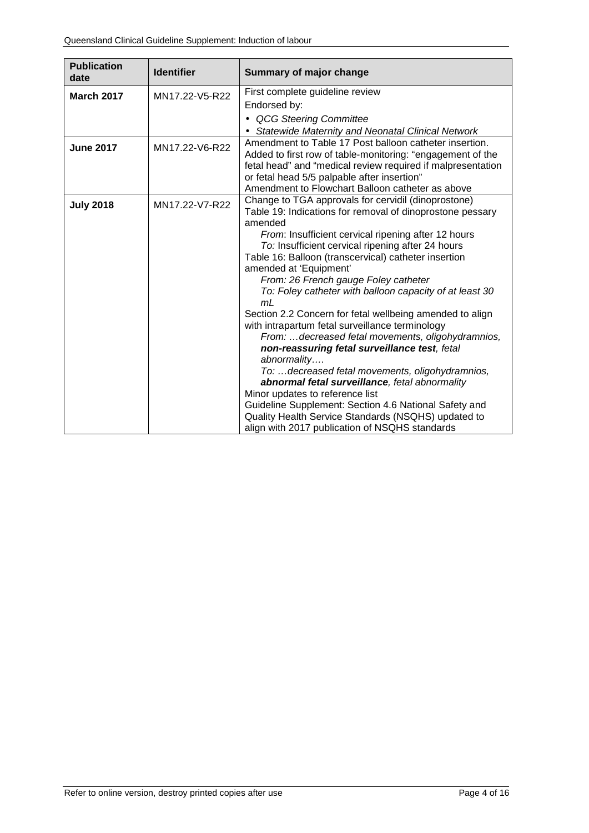| <b>Publication</b><br>date | <b>Identifier</b>                                                                                                                      | Summary of major change                                                                                          |  |
|----------------------------|----------------------------------------------------------------------------------------------------------------------------------------|------------------------------------------------------------------------------------------------------------------|--|
| <b>March 2017</b>          | MN17.22-V5-R22                                                                                                                         | First complete guideline review                                                                                  |  |
|                            |                                                                                                                                        | Endorsed by:                                                                                                     |  |
|                            |                                                                                                                                        | QCG Steering Committee                                                                                           |  |
|                            |                                                                                                                                        | Statewide Maternity and Neonatal Clinical Network                                                                |  |
| <b>June 2017</b>           | Amendment to Table 17 Post balloon catheter insertion.<br>MN17.22-V6-R22<br>Added to first row of table-monitoring: "engagement of the |                                                                                                                  |  |
|                            |                                                                                                                                        | fetal head" and "medical review required if malpresentation                                                      |  |
|                            |                                                                                                                                        | or fetal head 5/5 palpable after insertion"                                                                      |  |
|                            |                                                                                                                                        | Amendment to Flowchart Balloon catheter as above                                                                 |  |
| <b>July 2018</b>           | MN17.22-V7-R22                                                                                                                         | Change to TGA approvals for cervidil (dinoprostone)<br>Table 19: Indications for removal of dinoprostone pessary |  |
|                            |                                                                                                                                        | amended                                                                                                          |  |
|                            |                                                                                                                                        | From: Insufficient cervical ripening after 12 hours                                                              |  |
|                            |                                                                                                                                        | To: Insufficient cervical ripening after 24 hours                                                                |  |
|                            |                                                                                                                                        | Table 16: Balloon (transcervical) catheter insertion                                                             |  |
|                            |                                                                                                                                        | amended at 'Equipment'                                                                                           |  |
|                            |                                                                                                                                        | From: 26 French gauge Foley catheter                                                                             |  |
|                            |                                                                                                                                        | To: Foley catheter with balloon capacity of at least 30                                                          |  |
|                            |                                                                                                                                        | m <sub>L</sub>                                                                                                   |  |
|                            |                                                                                                                                        | Section 2.2 Concern for fetal wellbeing amended to align                                                         |  |
|                            |                                                                                                                                        | with intrapartum fetal surveillance terminology                                                                  |  |
|                            |                                                                                                                                        | From: decreased fetal movements, oligohydramnios,                                                                |  |
|                            |                                                                                                                                        | non-reassuring fetal surveillance test, fetal                                                                    |  |
|                            |                                                                                                                                        | abnormality                                                                                                      |  |
|                            |                                                                                                                                        | To:  decreased fetal movements, oligohydramnios,                                                                 |  |
|                            |                                                                                                                                        | abnormal fetal surveillance, fetal abnormality<br>Minor updates to reference list                                |  |
|                            |                                                                                                                                        | Guideline Supplement: Section 4.6 National Safety and                                                            |  |
|                            |                                                                                                                                        | Quality Health Service Standards (NSQHS) updated to                                                              |  |
|                            |                                                                                                                                        | align with 2017 publication of NSQHS standards                                                                   |  |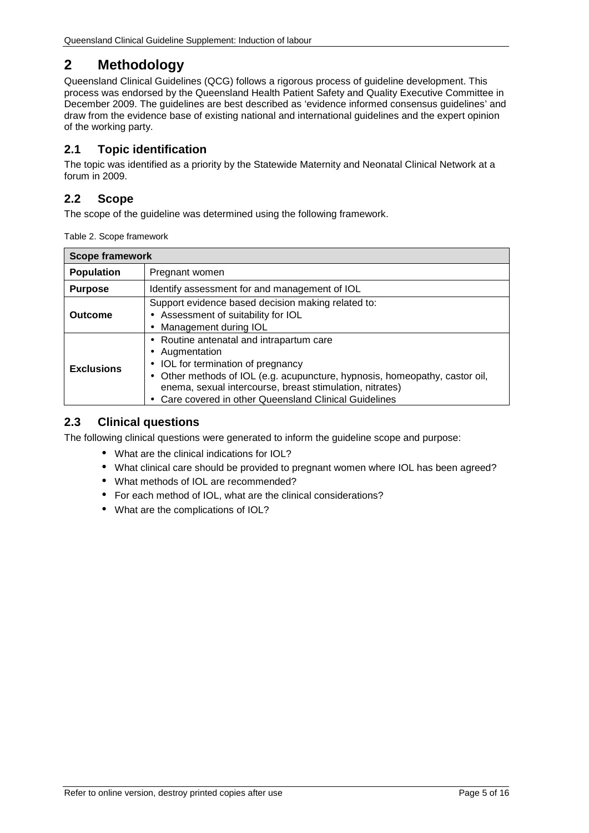# <span id="page-4-0"></span>**2 Methodology**

Queensland Clinical Guidelines (QCG) follows a rigorous process of guideline development. This process was endorsed by the Queensland Health Patient Safety and Quality Executive Committee in December 2009. The guidelines are best described as 'evidence informed consensus guidelines' and draw from the evidence base of existing national and international guidelines and the expert opinion of the working party.

## <span id="page-4-1"></span>**2.1 Topic identification**

The topic was identified as a priority by the Statewide Maternity and Neonatal Clinical Network at a forum in 2009.

## <span id="page-4-2"></span>**2.2 Scope**

<span id="page-4-4"></span>The scope of the guideline was determined using the following framework.

| <b>Scope framework</b> |                                                                                                                                                                                                                                                                                             |  |  |
|------------------------|---------------------------------------------------------------------------------------------------------------------------------------------------------------------------------------------------------------------------------------------------------------------------------------------|--|--|
| <b>Population</b>      | Pregnant women                                                                                                                                                                                                                                                                              |  |  |
| <b>Purpose</b>         | Identify assessment for and management of IOL                                                                                                                                                                                                                                               |  |  |
| Outcome                | Support evidence based decision making related to:<br>Assessment of suitability for IOL<br>Management during IOL                                                                                                                                                                            |  |  |
| <b>Exclusions</b>      | Routine antenatal and intrapartum care<br>Augmentation<br>IOL for termination of pregnancy<br>Other methods of IOL (e.g. acupuncture, hypnosis, homeopathy, castor oil,<br>enema, sexual intercourse, breast stimulation, nitrates)<br>Care covered in other Queensland Clinical Guidelines |  |  |

### <span id="page-4-3"></span>**2.3 Clinical questions**

The following clinical questions were generated to inform the guideline scope and purpose:

- What are the clinical indications for IOL?
- What clinical care should be provided to pregnant women where IOL has been agreed?
- What methods of IOL are recommended?
- For each method of IOL, what are the clinical considerations?
- What are the complications of IOL?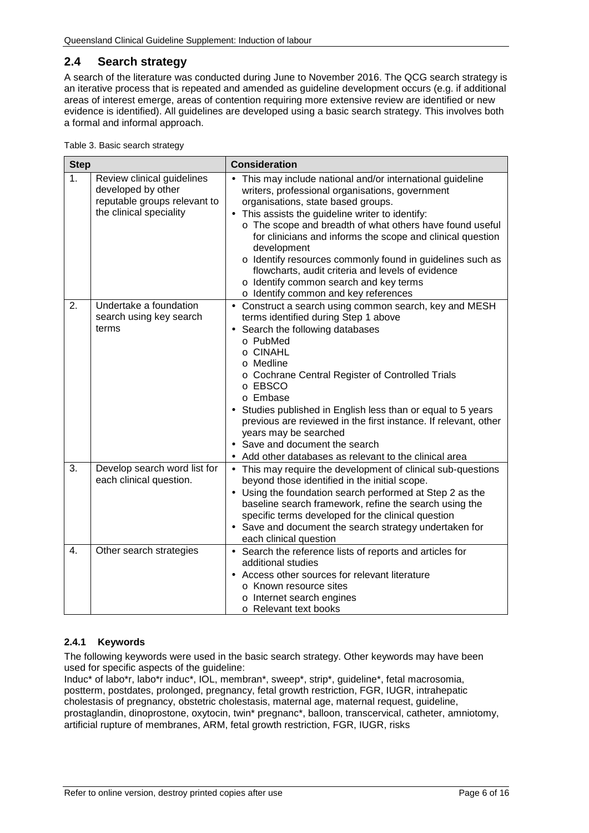### <span id="page-5-0"></span>**2.4 Search strategy**

A search of the literature was conducted during June to November 2016. The QCG search strategy is an iterative process that is repeated and amended as guideline development occurs (e.g. if additional areas of interest emerge, areas of contention requiring more extensive review are identified or new evidence is identified). All guidelines are developed using a basic search strategy. This involves both a formal and informal approach.

<span id="page-5-2"></span>

| <b>Step</b> |                                                                                                             | <b>Consideration</b>                                                                                                                                                                                                                                                                                                                                                                                                                                                                                                                             |
|-------------|-------------------------------------------------------------------------------------------------------------|--------------------------------------------------------------------------------------------------------------------------------------------------------------------------------------------------------------------------------------------------------------------------------------------------------------------------------------------------------------------------------------------------------------------------------------------------------------------------------------------------------------------------------------------------|
| 1.          | Review clinical guidelines<br>developed by other<br>reputable groups relevant to<br>the clinical speciality | This may include national and/or international guideline<br>writers, professional organisations, government<br>organisations, state based groups.<br>This assists the guideline writer to identify:<br>o The scope and breadth of what others have found useful<br>for clinicians and informs the scope and clinical question<br>development<br>o Identify resources commonly found in guidelines such as<br>flowcharts, audit criteria and levels of evidence<br>o Identify common search and key terms<br>o Identify common and key references |
| 2.          | Undertake a foundation<br>search using key search<br>terms                                                  | Construct a search using common search, key and MESH<br>terms identified during Step 1 above<br>Search the following databases<br>o PubMed<br>o CINAHL<br>o Medline<br>o Cochrane Central Register of Controlled Trials<br>o EBSCO<br>o Embase<br>Studies published in English less than or equal to 5 years<br>previous are reviewed in the first instance. If relevant, other<br>years may be searched<br>Save and document the search<br>Add other databases as relevant to the clinical area                                                 |
| 3.          | Develop search word list for<br>each clinical question.                                                     | This may require the development of clinical sub-questions<br>$\blacksquare$<br>beyond those identified in the initial scope.<br>Using the foundation search performed at Step 2 as the<br>baseline search framework, refine the search using the<br>specific terms developed for the clinical question<br>Save and document the search strategy undertaken for<br>each clinical question                                                                                                                                                        |
| 4.          | Other search strategies                                                                                     | Search the reference lists of reports and articles for<br>$\blacksquare$<br>additional studies<br>Access other sources for relevant literature<br>o Known resource sites<br>o Internet search engines<br>o Relevant text books                                                                                                                                                                                                                                                                                                                   |

#### <span id="page-5-1"></span>**2.4.1 Keywords**

The following keywords were used in the basic search strategy. Other keywords may have been used for specific aspects of the guideline:

Induc\* of labo\*r, labo\*r induc\*, IOL, membran\*, sweep\*, strip\*, guideline\*, fetal macrosomia, postterm, postdates, prolonged, pregnancy, fetal growth restriction, FGR, IUGR, intrahepatic cholestasis of pregnancy, obstetric cholestasis, maternal age, maternal request, guideline, prostaglandin, dinoprostone, oxytocin, twin\* pregnanc\*, balloon, transcervical, catheter, amniotomy, artificial rupture of membranes, ARM, fetal growth restriction, FGR, IUGR, risks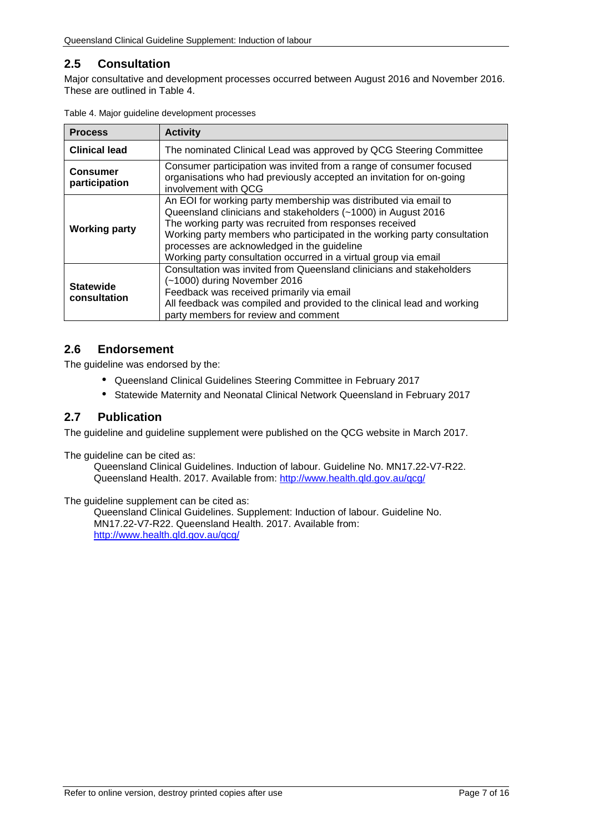## <span id="page-6-0"></span>**2.5 Consultation**

Major consultative and development processes occurred between August 2016 and November 2016. These are outlined in [Table 4.](#page-6-3)

| <b>Process</b>                   | <b>Activity</b>                                                                                                                                                                                                                                                                                                                                                                             |  |
|----------------------------------|---------------------------------------------------------------------------------------------------------------------------------------------------------------------------------------------------------------------------------------------------------------------------------------------------------------------------------------------------------------------------------------------|--|
| <b>Clinical lead</b>             | The nominated Clinical Lead was approved by QCG Steering Committee                                                                                                                                                                                                                                                                                                                          |  |
| <b>Consumer</b><br>participation | Consumer participation was invited from a range of consumer focused<br>organisations who had previously accepted an invitation for on-going<br>involvement with QCG                                                                                                                                                                                                                         |  |
| <b>Working party</b>             | An EOI for working party membership was distributed via email to<br>Queensland clinicians and stakeholders (~1000) in August 2016<br>The working party was recruited from responses received<br>Working party members who participated in the working party consultation<br>processes are acknowledged in the guideline<br>Working party consultation occurred in a virtual group via email |  |
| <b>Statewide</b><br>consultation | Consultation was invited from Queensland clinicians and stakeholders<br>(~1000) during November 2016<br>Feedback was received primarily via email<br>All feedback was compiled and provided to the clinical lead and working<br>party members for review and comment                                                                                                                        |  |

<span id="page-6-3"></span>

|  |  |  | Table 4. Major guideline development processes |  |
|--|--|--|------------------------------------------------|--|
|--|--|--|------------------------------------------------|--|

#### <span id="page-6-1"></span>**2.6 Endorsement**

The guideline was endorsed by the:

- Queensland Clinical Guidelines Steering Committee in February 2017
- $\mathbf{r}^{(1)}$ Statewide Maternity and Neonatal Clinical Network Queensland in February 2017

#### <span id="page-6-2"></span>**2.7 Publication**

The guideline and guideline supplement were published on the QCG website in March 2017.

The quideline can be cited as:

Queensland Clinical Guidelines. Induction of labour. Guideline No. MN17.22-V7-R22. Queensland Health. 2017. Available from:<http://www.health.qld.gov.au/qcg/>

The guideline supplement can be cited as:

Queensland Clinical Guidelines. Supplement: Induction of labour. Guideline No. MN17.22-V7-R22. Queensland Health. 2017. Available from: <http://www.health.qld.gov.au/qcg/>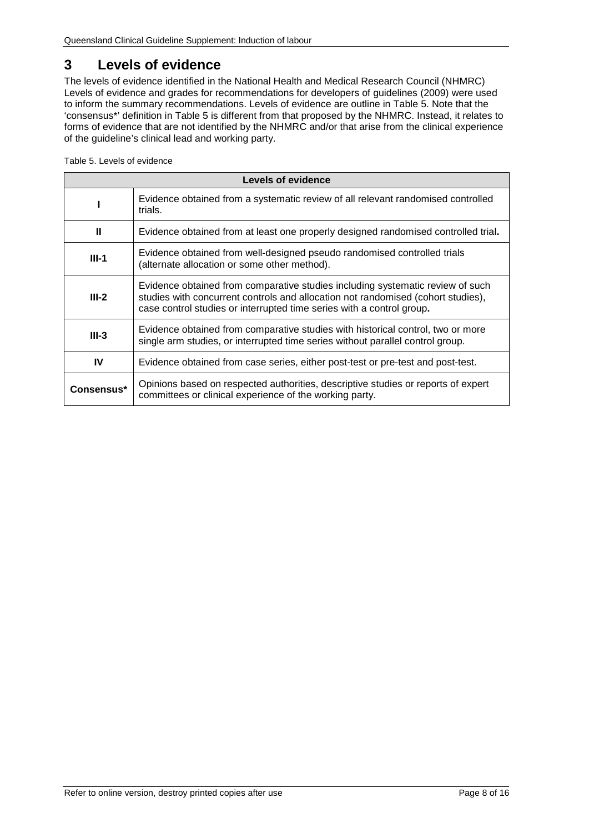# <span id="page-7-0"></span>**3 Levels of evidence**

The levels of evidence identified in the National Health and Medical Research Council (NHMRC) Levels of evidence and grades for recommendations for developers of guidelines (2009) were used to inform the summary recommendations. Levels of evidence are outline in [Table 5.](#page-7-1) Note that the 'consensus\*' definition in [Table 5](#page-7-1) is different from that proposed by the NHMRC. Instead, it relates to forms of evidence that are not identified by the NHMRC and/or that arise from the clinical experience of the guideline's clinical lead and working party.

<span id="page-7-1"></span>Table 5. Levels of evidence

| Levels of evidence |                                                                                                                                                                                                                                             |  |  |
|--------------------|---------------------------------------------------------------------------------------------------------------------------------------------------------------------------------------------------------------------------------------------|--|--|
|                    | Evidence obtained from a systematic review of all relevant randomised controlled<br>trials.                                                                                                                                                 |  |  |
| $\mathbf{u}$       | Evidence obtained from at least one properly designed randomised controlled trial.                                                                                                                                                          |  |  |
| $III-1$            | Evidence obtained from well-designed pseudo randomised controlled trials<br>(alternate allocation or some other method).                                                                                                                    |  |  |
| $III-2$            | Evidence obtained from comparative studies including systematic review of such<br>studies with concurrent controls and allocation not randomised (cohort studies),<br>case control studies or interrupted time series with a control group. |  |  |
| $III-3$            | Evidence obtained from comparative studies with historical control, two or more<br>single arm studies, or interrupted time series without parallel control group.                                                                           |  |  |
| IV                 | Evidence obtained from case series, either post-test or pre-test and post-test.                                                                                                                                                             |  |  |
| Consensus*         | Opinions based on respected authorities, descriptive studies or reports of expert<br>committees or clinical experience of the working party.                                                                                                |  |  |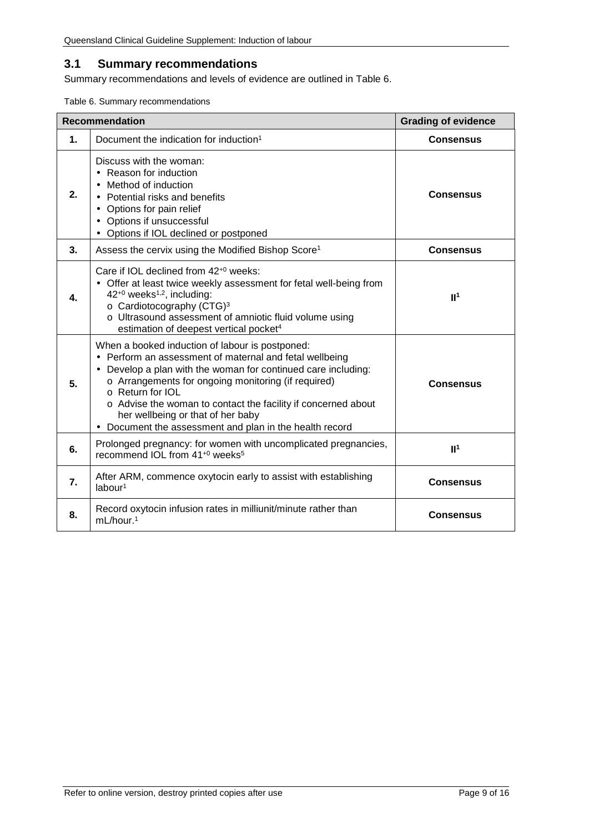## <span id="page-8-0"></span>**3.1 Summary recommendations**

Summary recommendations and levels of evidence are outlined in [Table 6.](#page-8-1)

<span id="page-8-1"></span>Table 6. Summary recommendations

|                  | <b>Recommendation</b>                                                                                                                                                                                                                                                                                                                                                                                             | <b>Grading of evidence</b> |
|------------------|-------------------------------------------------------------------------------------------------------------------------------------------------------------------------------------------------------------------------------------------------------------------------------------------------------------------------------------------------------------------------------------------------------------------|----------------------------|
| 1.               | Document the indication for induction <sup>1</sup>                                                                                                                                                                                                                                                                                                                                                                | <b>Consensus</b>           |
| 2.               | Discuss with the woman:<br>· Reason for induction<br>Method of induction<br>Potential risks and benefits<br>Options for pain relief<br>Options if unsuccessful<br>Options if IOL declined or postponed                                                                                                                                                                                                            | <b>Consensus</b>           |
| 3.               | Assess the cervix using the Modified Bishop Score <sup>1</sup>                                                                                                                                                                                                                                                                                                                                                    | <b>Consensus</b>           |
| 4.               | Care if IOL declined from 42 <sup>+0</sup> weeks:<br>Offer at least twice weekly assessment for fetal well-being from<br>42 <sup>+0</sup> weeks <sup>1,2</sup> , including:<br>o Cardiotocography (CTG) <sup>3</sup><br>o Ultrasound assessment of amniotic fluid volume using<br>estimation of deepest vertical pocket <sup>4</sup>                                                                              | II <sup>1</sup>            |
| 5.               | When a booked induction of labour is postponed:<br>Perform an assessment of maternal and fetal wellbeing<br>Develop a plan with the woman for continued care including:<br>o Arrangements for ongoing monitoring (if required)<br>o Return for IOL<br>o Advise the woman to contact the facility if concerned about<br>her wellbeing or that of her baby<br>Document the assessment and plan in the health record | <b>Consensus</b>           |
| 6.               | Prolonged pregnancy: for women with uncomplicated pregnancies,<br>recommend IOL from 41 <sup>+0</sup> weeks <sup>5</sup>                                                                                                                                                                                                                                                                                          | II <sup>1</sup>            |
| $\overline{7}$ . | After ARM, commence oxytocin early to assist with establishing<br>labour <sup>1</sup>                                                                                                                                                                                                                                                                                                                             | <b>Consensus</b>           |
| 8.               | Record oxytocin infusion rates in milliunit/minute rather than<br>mL/hour. <sup>1</sup>                                                                                                                                                                                                                                                                                                                           | <b>Consensus</b>           |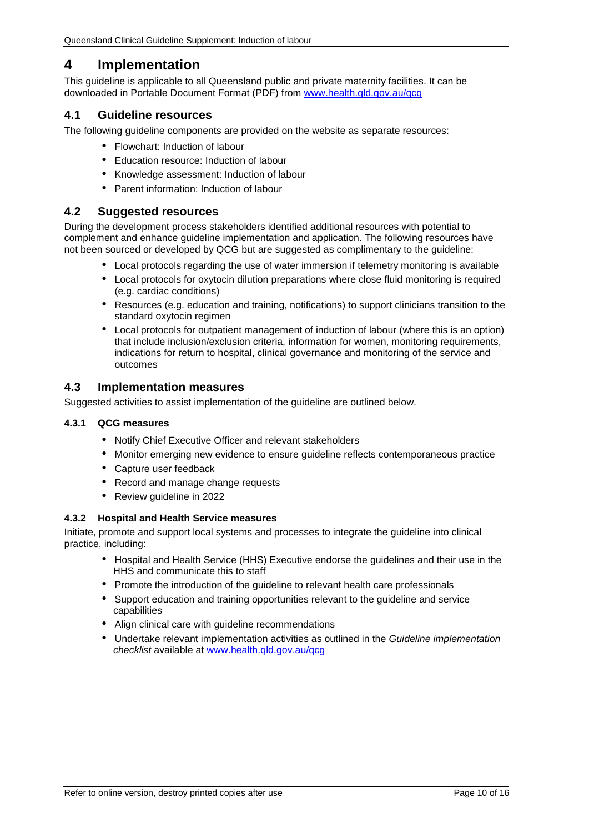## <span id="page-9-0"></span>**4 Implementation**

This guideline is applicable to all Queensland public and private maternity facilities. It can be downloaded in Portable Document Format (PDF) from [www.health.qld.gov.au/qcg](http://www.health.qld.gov.au/qcg)

#### <span id="page-9-1"></span>**4.1 Guideline resources**

The following guideline components are provided on the website as separate resources:

- Flowchart: Induction of labour
- Education resource: Induction of labour
- Knowledge assessment: Induction of labour  $\mathbf{r}$
- Parent information: Induction of labour

#### <span id="page-9-2"></span>**4.2 Suggested resources**

During the development process stakeholders identified additional resources with potential to complement and enhance guideline implementation and application. The following resources have not been sourced or developed by QCG but are suggested as complimentary to the guideline:

- Local protocols regarding the use of water immersion if telemetry monitoring is available
- Local protocols for oxytocin dilution preparations where close fluid monitoring is required (e.g. cardiac conditions)
- Resources (e.g. education and training, notifications) to support clinicians transition to the standard oxytocin regimen
- Local protocols for outpatient management of induction of labour (where this is an option) that include inclusion/exclusion criteria, information for women, monitoring requirements, indications for return to hospital, clinical governance and monitoring of the service and outcomes

#### <span id="page-9-3"></span>**4.3 Implementation measures**

<span id="page-9-4"></span>Suggested activities to assist implementation of the guideline are outlined below.

#### **4.3.1 QCG measures**

- Notify Chief Executive Officer and relevant stakeholders  $\mathbf{r}$
- Monitor emerging new evidence to ensure guideline reflects contemporaneous practice
- Capture user feedback
- $\mathbb{R}^{n-1}$ Record and manage change requests
- Review guideline in 2022

#### <span id="page-9-5"></span>**4.3.2 Hospital and Health Service measures**

Initiate, promote and support local systems and processes to integrate the guideline into clinical practice, including:

- Hospital and Health Service (HHS) Executive endorse the guidelines and their use in the HHS and communicate this to staff
- Promote the introduction of the guideline to relevant health care professionals
- Support education and training opportunities relevant to the guideline and service capabilities
- Align clinical care with guideline recommendations
- Undertake relevant implementation activities as outlined in the *Guideline implementation checklist* available at [www.health.qld.gov.au/qcg](http://www.health.qld.gov.au/qcg)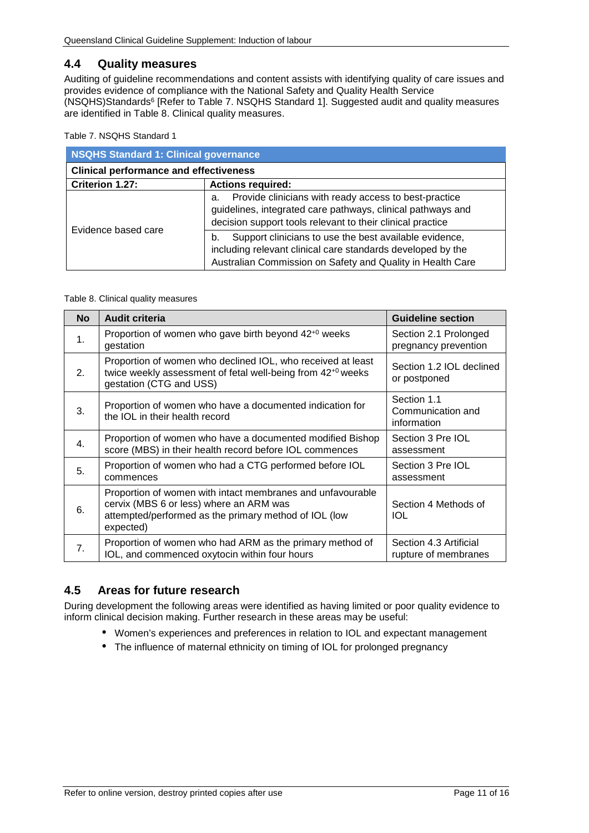#### <span id="page-10-0"></span>**4.4 Quality measures**

Auditing of guideline recommendations and content assists with identifying quality of care issues and provides evidence of compliance with the National Safety and Quality Health Service (NSQHS)Standards6 [Refer to [Table 7. NSQHS Standard 1\]](#page-10-2). Suggested audit and quality measures are identified in [Table 8. Clinical quality measures.](#page-10-3)

<span id="page-10-2"></span>Table 7. NSQHS Standard 1

| <b>NSQHS Standard 1: Clinical governance</b>  |                                                                                                                                                                                           |  |  |
|-----------------------------------------------|-------------------------------------------------------------------------------------------------------------------------------------------------------------------------------------------|--|--|
| <b>Clinical performance and effectiveness</b> |                                                                                                                                                                                           |  |  |
| Criterion 1.27:                               | <b>Actions required:</b>                                                                                                                                                                  |  |  |
| Evidence based care                           | Provide clinicians with ready access to best-practice<br>a.<br>guidelines, integrated care pathways, clinical pathways and<br>decision support tools relevant to their clinical practice  |  |  |
|                                               | Support clinicians to use the best available evidence,<br>b.<br>including relevant clinical care standards developed by the<br>Australian Commission on Safety and Quality in Health Care |  |  |

#### <span id="page-10-3"></span>Table 8. Clinical quality measures

| <b>No</b>        | <b>Audit criteria</b>                                                                                                                                                       | <b>Guideline section</b>                        |
|------------------|-----------------------------------------------------------------------------------------------------------------------------------------------------------------------------|-------------------------------------------------|
| 1 <sub>1</sub>   | Proportion of women who gave birth beyond $42^{+0}$ weeks<br>gestation                                                                                                      | Section 2.1 Prolonged<br>pregnancy prevention   |
| 2.               | Proportion of women who declined IOL, who received at least<br>twice weekly assessment of fetal well-being from 42 <sup>+0</sup> weeks<br>gestation (CTG and USS)           | Section 1.2 IOL declined<br>or postponed        |
| 3.               | Proportion of women who have a documented indication for<br>the IOL in their health record                                                                                  | Section 1.1<br>Communication and<br>information |
| 4 <sub>1</sub>   | Proportion of women who have a documented modified Bishop<br>score (MBS) in their health record before IOL commences                                                        | Section 3 Pre IOL<br>assessment                 |
| 5.               | Proportion of women who had a CTG performed before IOL<br>commences                                                                                                         | Section 3 Pre IOL<br>assessment                 |
| 6.               | Proportion of women with intact membranes and unfavourable<br>cervix (MBS 6 or less) where an ARM was<br>attempted/performed as the primary method of IOL (low<br>expected) | Section 4 Methods of<br>IOL                     |
| $\overline{7}$ . | Proportion of women who had ARM as the primary method of<br>IOL, and commenced oxytocin within four hours                                                                   | Section 4.3 Artificial<br>rupture of membranes  |

#### <span id="page-10-1"></span>**4.5 Areas for future research**

During development the following areas were identified as having limited or poor quality evidence to inform clinical decision making. Further research in these areas may be useful:

- Women's experiences and preferences in relation to IOL and expectant management
- The influence of maternal ethnicity on timing of IOL for prolonged pregnancy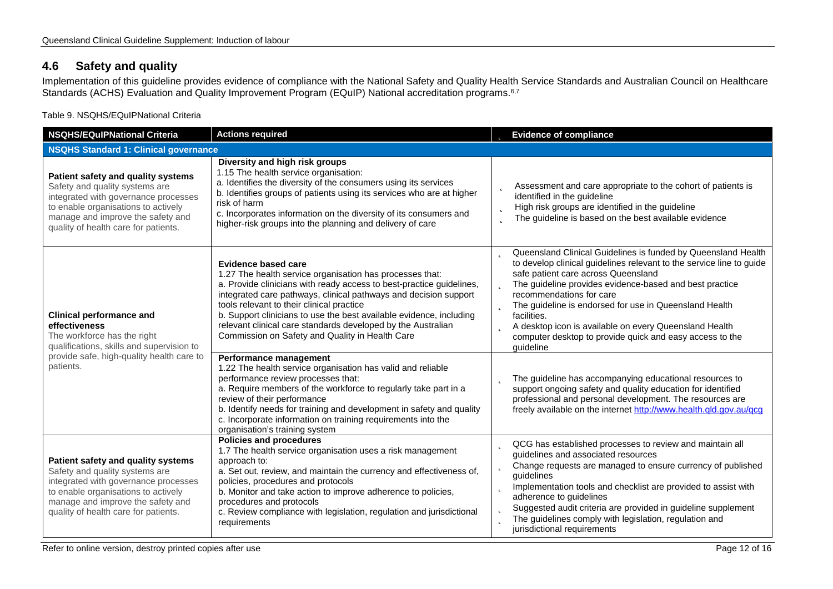## **4.6 Safety and quality**

Implementation of this guideline provides evidence of compliance with the National Safety and Quality Health Service Standards and Australian Council on Healthcare Standards (ACHS) Evaluation and Quality Improvement Program (EQuIP) National accreditation programs.<sup>6,7</sup>

Table 9. NSQHS/EQuIPNational Criteria

<span id="page-11-1"></span><span id="page-11-0"></span>

| <b>NSQHS/EQuIPNational Criteria</b>                                                                                                                                                                                              | <b>Actions required</b>                                                                                                                                                                                                                                                                                                                                                                                                                                                   | <b>b</b> Evidence of compliance                                                                                                                                                                                                                                                                                                                                                                                                                                                               |
|----------------------------------------------------------------------------------------------------------------------------------------------------------------------------------------------------------------------------------|---------------------------------------------------------------------------------------------------------------------------------------------------------------------------------------------------------------------------------------------------------------------------------------------------------------------------------------------------------------------------------------------------------------------------------------------------------------------------|-----------------------------------------------------------------------------------------------------------------------------------------------------------------------------------------------------------------------------------------------------------------------------------------------------------------------------------------------------------------------------------------------------------------------------------------------------------------------------------------------|
| <b>NSQHS Standard 1: Clinical governance</b>                                                                                                                                                                                     |                                                                                                                                                                                                                                                                                                                                                                                                                                                                           |                                                                                                                                                                                                                                                                                                                                                                                                                                                                                               |
| Patient safety and quality systems<br>Safety and quality systems are<br>integrated with governance processes<br>to enable organisations to actively<br>manage and improve the safety and<br>quality of health care for patients. | Diversity and high risk groups<br>1.15 The health service organisation:<br>a. Identifies the diversity of the consumers using its services<br>b. Identifies groups of patients using its services who are at higher<br>risk of harm<br>c. Incorporates information on the diversity of its consumers and<br>higher-risk groups into the planning and delivery of care                                                                                                     | Assessment and care appropriate to the cohort of patients is<br>identified in the guideline<br>High risk groups are identified in the guideline<br>Þ<br>The guideline is based on the best available evidence<br>b                                                                                                                                                                                                                                                                            |
| <b>Clinical performance and</b><br>effectiveness<br>The workforce has the right<br>qualifications, skills and supervision to<br>provide safe, high-quality health care to<br>patients.                                           | <b>Evidence based care</b><br>1.27 The health service organisation has processes that:<br>a. Provide clinicians with ready access to best-practice guidelines,<br>integrated care pathways, clinical pathways and decision support<br>tools relevant to their clinical practice<br>b. Support clinicians to use the best available evidence, including<br>relevant clinical care standards developed by the Australian<br>Commission on Safety and Quality in Health Care | Queensland Clinical Guidelines is funded by Queensland Health<br>b<br>to develop clinical guidelines relevant to the service line to guide<br>safe patient care across Queensland<br>The guideline provides evidence-based and best practice<br>recommendations for care<br><b>D</b> The guideline is endorsed for use in Queensland Health<br>facilities.<br>A desktop icon is available on every Queensland Health<br>computer desktop to provide quick and easy access to the<br>guideline |
|                                                                                                                                                                                                                                  | Performance management<br>1.22 The health service organisation has valid and reliable<br>performance review processes that:<br>a. Require members of the workforce to regularly take part in a<br>review of their performance<br>b. Identify needs for training and development in safety and quality<br>c. Incorporate information on training requirements into the<br>organisation's training system                                                                   | The guideline has accompanying educational resources to<br>support ongoing safety and quality education for identified<br>professional and personal development. The resources are<br>freely available on the internet http://www.health.qld.gov.au/qcg                                                                                                                                                                                                                                       |
| Patient safety and quality systems<br>Safety and quality systems are<br>integrated with governance processes<br>to enable organisations to actively<br>manage and improve the safety and<br>quality of health care for patients. | <b>Policies and procedures</b><br>1.7 The health service organisation uses a risk management<br>approach to:<br>a. Set out, review, and maintain the currency and effectiveness of,<br>policies, procedures and protocols<br>b. Monitor and take action to improve adherence to policies,<br>procedures and protocols<br>c. Review compliance with legislation, regulation and jurisdictional<br>requirements                                                             | <b>D</b> QCG has established processes to review and maintain all<br>guidelines and associated resources<br><b>b</b> Change requests are managed to ensure currency of published<br>quidelines<br><b>p</b> Implementation tools and checklist are provided to assist with<br>adherence to guidelines<br>Suggested audit criteria are provided in guideline supplement<br>þ<br>The guidelines comply with legislation, regulation and<br>þ<br>jurisdictional requirements                      |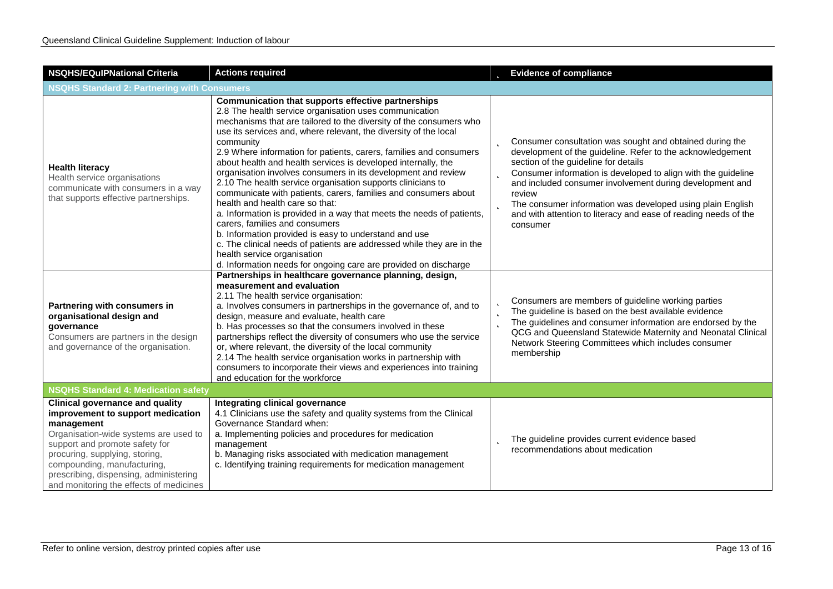| <b>NSQHS/EQuIPNational Criteria</b>                                                                                                                                                                                                                                                                                        | <b>Actions required</b>                                                                                                                                                                                                                                                                                                                                                                                                                                                                                                                                                                                                                                                                                                                                                                                                                                                                                                                                                                                |                       | <b>b</b> Evidence of compliance                                                                                                                                                                                                                                                                                                                                                                                                                             |
|----------------------------------------------------------------------------------------------------------------------------------------------------------------------------------------------------------------------------------------------------------------------------------------------------------------------------|--------------------------------------------------------------------------------------------------------------------------------------------------------------------------------------------------------------------------------------------------------------------------------------------------------------------------------------------------------------------------------------------------------------------------------------------------------------------------------------------------------------------------------------------------------------------------------------------------------------------------------------------------------------------------------------------------------------------------------------------------------------------------------------------------------------------------------------------------------------------------------------------------------------------------------------------------------------------------------------------------------|-----------------------|-------------------------------------------------------------------------------------------------------------------------------------------------------------------------------------------------------------------------------------------------------------------------------------------------------------------------------------------------------------------------------------------------------------------------------------------------------------|
| <b>NSQHS Standard 2: Partnering with Consumers</b>                                                                                                                                                                                                                                                                         |                                                                                                                                                                                                                                                                                                                                                                                                                                                                                                                                                                                                                                                                                                                                                                                                                                                                                                                                                                                                        |                       |                                                                                                                                                                                                                                                                                                                                                                                                                                                             |
| <b>Health literacy</b><br>Health service organisations<br>communicate with consumers in a way<br>that supports effective partnerships.                                                                                                                                                                                     | <b>Communication that supports effective partnerships</b><br>2.8 The health service organisation uses communication<br>mechanisms that are tailored to the diversity of the consumers who<br>use its services and, where relevant, the diversity of the local<br>community<br>2.9 Where information for patients, carers, families and consumers<br>about health and health services is developed internally, the<br>organisation involves consumers in its development and review<br>2.10 The health service organisation supports clinicians to<br>communicate with patients, carers, families and consumers about<br>health and health care so that:<br>a. Information is provided in a way that meets the needs of patients,<br>carers, families and consumers<br>b. Information provided is easy to understand and use<br>c. The clinical needs of patients are addressed while they are in the<br>health service organisation<br>d. Information needs for ongoing care are provided on discharge | b<br>Þ                | <b>b</b> Consumer consultation was sought and obtained during the<br>development of the guideline. Refer to the acknowledgement<br>section of the guideline for details<br>Consumer information is developed to align with the guideline<br>and included consumer involvement during development and<br>review<br>The consumer information was developed using plain English<br>and with attention to literacy and ease of reading needs of the<br>consumer |
| Partnering with consumers in<br>organisational design and<br>governance<br>Consumers are partners in the design<br>and governance of the organisation.                                                                                                                                                                     | Partnerships in healthcare governance planning, design,<br>measurement and evaluation<br>2.11 The health service organisation:<br>a. Involves consumers in partnerships in the governance of, and to<br>design, measure and evaluate, health care<br>b. Has processes so that the consumers involved in these<br>partnerships reflect the diversity of consumers who use the service<br>or, where relevant, the diversity of the local community<br>2.14 The health service organisation works in partnership with<br>consumers to incorporate their views and experiences into training<br>and education for the workforce                                                                                                                                                                                                                                                                                                                                                                            | Þ<br>$\mathbf b$<br>þ | Consumers are members of guideline working parties<br>The guideline is based on the best available evidence<br>The guidelines and consumer information are endorsed by the<br>QCG and Queensland Statewide Maternity and Neonatal Clinical<br>Network Steering Committees which includes consumer<br>membership                                                                                                                                             |
| <b>NSQHS Standard 4: Medication safety</b>                                                                                                                                                                                                                                                                                 |                                                                                                                                                                                                                                                                                                                                                                                                                                                                                                                                                                                                                                                                                                                                                                                                                                                                                                                                                                                                        |                       |                                                                                                                                                                                                                                                                                                                                                                                                                                                             |
| <b>Clinical governance and quality</b><br>improvement to support medication<br>management<br>Organisation-wide systems are used to<br>support and promote safety for<br>procuring, supplying, storing,<br>compounding, manufacturing,<br>prescribing, dispensing, administering<br>and monitoring the effects of medicines | Integrating clinical governance<br>4.1 Clinicians use the safety and quality systems from the Clinical<br>Governance Standard when:<br>a. Implementing policies and procedures for medication<br>management<br>b. Managing risks associated with medication management<br>c. Identifying training requirements for medication management                                                                                                                                                                                                                                                                                                                                                                                                                                                                                                                                                                                                                                                               |                       | The guideline provides current evidence based<br>recommendations about medication                                                                                                                                                                                                                                                                                                                                                                           |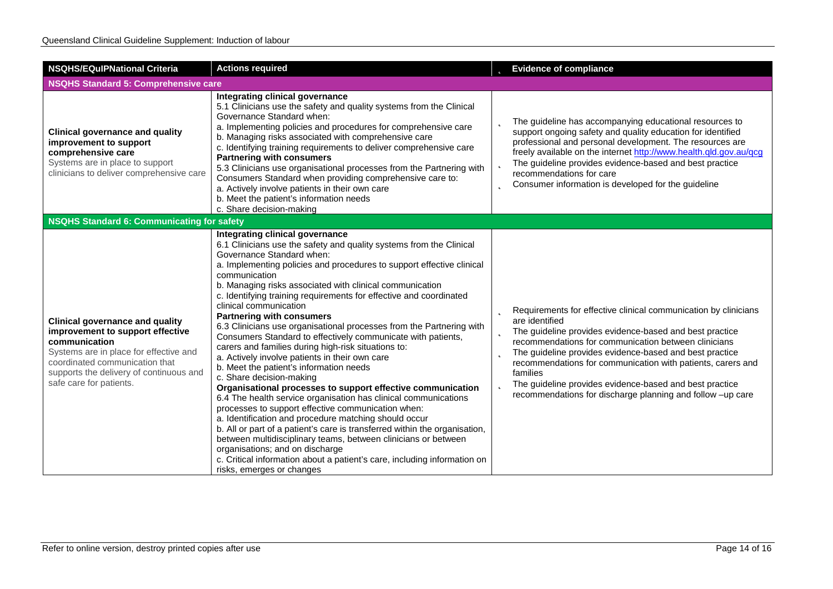| <b>NSQHS/EQulPNational Criteria</b>                                                                                                                                                                                                           | <b>Actions required</b>                                                                                                                                                                                                                                                                                                                                                                                                                                                                                                                                                                                                                                                                                                                                                                                                                                                                                                                                                                                                                                                                                                                                                                                                                                                                            | <b>b</b> Evidence of compliance                                                                                                                                                                                                                                                                                                                                                                                                                                                                |
|-----------------------------------------------------------------------------------------------------------------------------------------------------------------------------------------------------------------------------------------------|----------------------------------------------------------------------------------------------------------------------------------------------------------------------------------------------------------------------------------------------------------------------------------------------------------------------------------------------------------------------------------------------------------------------------------------------------------------------------------------------------------------------------------------------------------------------------------------------------------------------------------------------------------------------------------------------------------------------------------------------------------------------------------------------------------------------------------------------------------------------------------------------------------------------------------------------------------------------------------------------------------------------------------------------------------------------------------------------------------------------------------------------------------------------------------------------------------------------------------------------------------------------------------------------------|------------------------------------------------------------------------------------------------------------------------------------------------------------------------------------------------------------------------------------------------------------------------------------------------------------------------------------------------------------------------------------------------------------------------------------------------------------------------------------------------|
| <b>NSQHS Standard 5: Comprehensive care</b>                                                                                                                                                                                                   |                                                                                                                                                                                                                                                                                                                                                                                                                                                                                                                                                                                                                                                                                                                                                                                                                                                                                                                                                                                                                                                                                                                                                                                                                                                                                                    |                                                                                                                                                                                                                                                                                                                                                                                                                                                                                                |
| <b>Clinical governance and quality</b><br>improvement to support<br>comprehensive care<br>Systems are in place to support<br>clinicians to deliver comprehensive care                                                                         | Integrating clinical governance<br>5.1 Clinicians use the safety and quality systems from the Clinical<br>Governance Standard when:<br>a. Implementing policies and procedures for comprehensive care<br>b. Managing risks associated with comprehensive care<br>c. Identifying training requirements to deliver comprehensive care<br><b>Partnering with consumers</b><br>5.3 Clinicians use organisational processes from the Partnering with<br>Consumers Standard when providing comprehensive care to:<br>a. Actively involve patients in their own care<br>b. Meet the patient's information needs<br>c. Share decision-making                                                                                                                                                                                                                                                                                                                                                                                                                                                                                                                                                                                                                                                               | <b>b</b> The guideline has accompanying educational resources to<br>support ongoing safety and quality education for identified<br>professional and personal development. The resources are<br>freely available on the internet http://www.health.qld.gov.au/qcg<br>The guideline provides evidence-based and best practice<br>recommendations for care<br><b>b</b> Consumer information is developed for the guideline                                                                        |
| NSQHS Standard 6: Communicating for safety                                                                                                                                                                                                    |                                                                                                                                                                                                                                                                                                                                                                                                                                                                                                                                                                                                                                                                                                                                                                                                                                                                                                                                                                                                                                                                                                                                                                                                                                                                                                    |                                                                                                                                                                                                                                                                                                                                                                                                                                                                                                |
| <b>Clinical governance and quality</b><br>improvement to support effective<br>communication<br>Systems are in place for effective and<br>coordinated communication that<br>supports the delivery of continuous and<br>safe care for patients. | Integrating clinical governance<br>6.1 Clinicians use the safety and quality systems from the Clinical<br>Governance Standard when:<br>a. Implementing policies and procedures to support effective clinical<br>communication<br>b. Managing risks associated with clinical communication<br>c. Identifying training requirements for effective and coordinated<br>clinical communication<br><b>Partnering with consumers</b><br>6.3 Clinicians use organisational processes from the Partnering with<br>Consumers Standard to effectively communicate with patients,<br>carers and families during high-risk situations to:<br>a. Actively involve patients in their own care<br>b. Meet the patient's information needs<br>c. Share decision-making<br>Organisational processes to support effective communication<br>6.4 The health service organisation has clinical communications<br>processes to support effective communication when:<br>a. Identification and procedure matching should occur<br>b. All or part of a patient's care is transferred within the organisation,<br>between multidisciplinary teams, between clinicians or between<br>organisations; and on discharge<br>c. Critical information about a patient's care, including information on<br>risks, emerges or changes | <b>D</b> Requirements for effective clinical communication by clinicians<br>are identified<br><b>b</b> The guideline provides evidence-based and best practice<br>recommendations for communication between clinicians<br><b>b</b> The guideline provides evidence-based and best practice<br>recommendations for communication with patients, carers and<br>families<br>The guideline provides evidence-based and best practice<br>recommendations for discharge planning and follow -up care |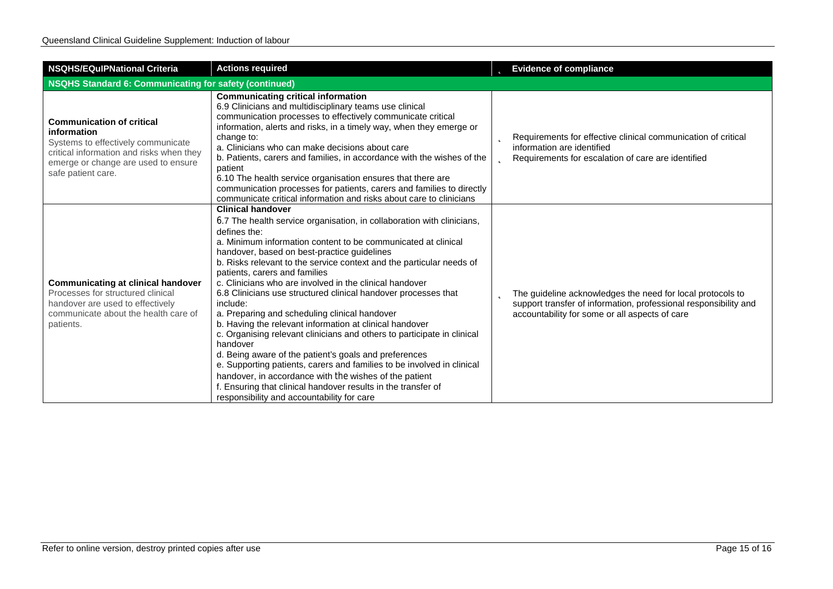| <b>NSQHS/EQulPNational Criteria</b>                                                                                                                                                            | <b>Actions required</b>                                                                                                                                                                                                                                                                                                                                                                                                                                                                                                                                                                                                                                                                                                                                                                                                                                                                                                                                                                             | <b>b</b> Evidence of compliance                                                                                                                                                           |  |
|------------------------------------------------------------------------------------------------------------------------------------------------------------------------------------------------|-----------------------------------------------------------------------------------------------------------------------------------------------------------------------------------------------------------------------------------------------------------------------------------------------------------------------------------------------------------------------------------------------------------------------------------------------------------------------------------------------------------------------------------------------------------------------------------------------------------------------------------------------------------------------------------------------------------------------------------------------------------------------------------------------------------------------------------------------------------------------------------------------------------------------------------------------------------------------------------------------------|-------------------------------------------------------------------------------------------------------------------------------------------------------------------------------------------|--|
| NSQHS Standard 6: Communicating for safety (continued)                                                                                                                                         |                                                                                                                                                                                                                                                                                                                                                                                                                                                                                                                                                                                                                                                                                                                                                                                                                                                                                                                                                                                                     |                                                                                                                                                                                           |  |
| <b>Communication of critical</b><br>information<br>Systems to effectively communicate<br>critical information and risks when they<br>emerge or change are used to ensure<br>safe patient care. | <b>Communicating critical information</b><br>6.9 Clinicians and multidisciplinary teams use clinical<br>communication processes to effectively communicate critical<br>information, alerts and risks, in a timely way, when they emerge or<br>change to:<br>a. Clinicians who can make decisions about care<br>b. Patients, carers and families, in accordance with the wishes of the<br>patient<br>6.10 The health service organisation ensures that there are<br>communication processes for patients, carers and families to directly<br>communicate critical information and risks about care to clinicians                                                                                                                                                                                                                                                                                                                                                                                     | <b>D</b> Requirements for effective clinical communication of critical<br>information are identified<br><b>D</b> Requirements for escalation of care are identified                       |  |
| <b>Communicating at clinical handover</b><br>Processes for structured clinical<br>handover are used to effectively<br>communicate about the health care of<br>patients.                        | <b>Clinical handover</b><br>6.7 The health service organisation, in collaboration with clinicians,<br>defines the:<br>a. Minimum information content to be communicated at clinical<br>handover, based on best-practice guidelines<br>b. Risks relevant to the service context and the particular needs of<br>patients, carers and families<br>c. Clinicians who are involved in the clinical handover<br>6.8 Clinicians use structured clinical handover processes that<br>include:<br>a. Preparing and scheduling clinical handover<br>b. Having the relevant information at clinical handover<br>c. Organising relevant clinicians and others to participate in clinical<br>handover<br>d. Being aware of the patient's goals and preferences<br>e. Supporting patients, carers and families to be involved in clinical<br>handover, in accordance with the wishes of the patient<br>f. Ensuring that clinical handover results in the transfer of<br>responsibility and accountability for care | <b>b</b> The guideline acknowledges the need for local protocols to<br>support transfer of information, professional responsibility and<br>accountability for some or all aspects of care |  |